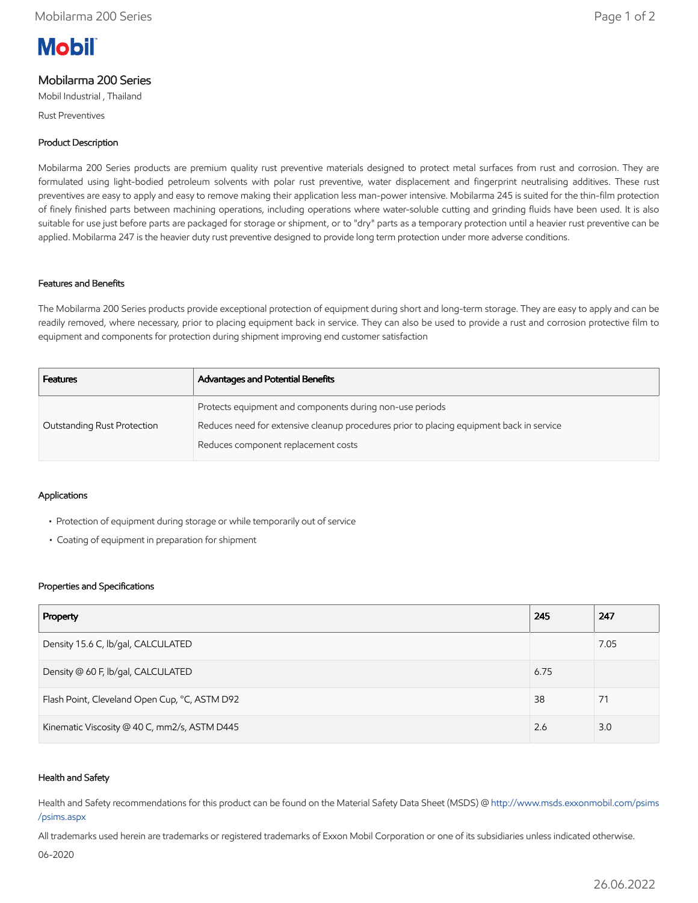# **Mobil**

## Mobilarma 200 Series

Mobil Industrial , Thailand

Rust Preventives

### Product Description

Mobilarma 200 Series products are premium quality rust preventive materials designed to protect metal surfaces from rust and corrosion. They are formulated using light-bodied petroleum solvents with polar rust preventive, water displacement and fingerprint neutralising additives. These rust preventives are easy to apply and easy to remove making their application less man-power intensive. Mobilarma 245 is suited for the thin-film protection of finely finished parts between machining operations, including operations where water-soluble cutting and grinding fluids have been used. It is also suitable for use just before parts are packaged for storage or shipment, or to "dry" parts as a temporary protection until a heavier rust preventive can be applied. Mobilarma 247 is the heavier duty rust preventive designed to provide long term protection under more adverse conditions.

#### Features and Benefits

The Mobilarma 200 Series products provide exceptional protection of equipment during short and long-term storage. They are easy to apply and can be readily removed, where necessary, prior to placing equipment back in service. They can also be used to provide a rust and corrosion protective film to equipment and components for protection during shipment improving end customer satisfaction

| <b>Advantages and Potential Benefits</b>                                                 |
|------------------------------------------------------------------------------------------|
| Protects equipment and components during non-use periods                                 |
| Reduces need for extensive cleanup procedures prior to placing equipment back in service |
| Reduces component replacement costs                                                      |
|                                                                                          |

#### Applications

- Protection of equipment during storage or while temporarily out of service
- Coating of equipment in preparation for shipment

#### Properties and Specifications

| Property                                      | 245  | 247  |
|-----------------------------------------------|------|------|
| Density 15.6 C, lb/gal, CALCULATED            |      | 7.05 |
| Density @ 60 F, lb/gal, CALCULATED            | 6.75 |      |
| Flash Point, Cleveland Open Cup, °C, ASTM D92 | 38   | 71   |
| Kinematic Viscosity @ 40 C, mm2/s, ASTM D445  | 2.6  | 3.0  |

#### Health and Safety

Health and Safety recommendations for this product can be found on the Material Safety Data Sheet (MSDS) @ [http://www.msds.exxonmobil.com/psims](http://www.msds.exxonmobil.com/psims/psims.aspx) /psims.aspx

All trademarks used herein are trademarks or registered trademarks of Exxon Mobil Corporation or one of its subsidiaries unless indicated otherwise.

06-2020